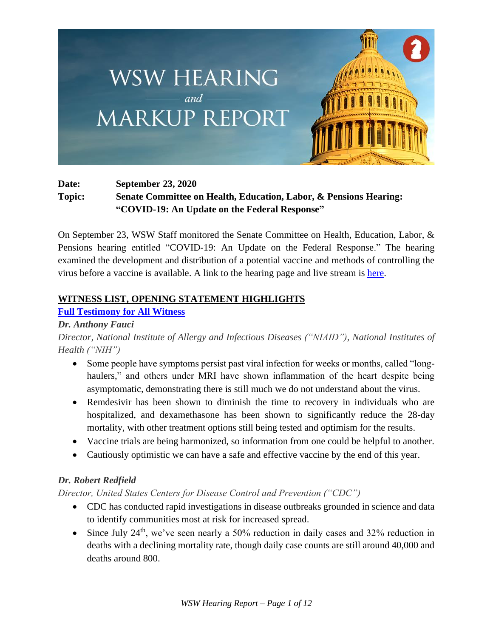

# **Date: September 23, 2020 Topic: Senate Committee on Health, Education, Labor, & Pensions Hearing: "COVID-19: An Update on the Federal Response"**

On September 23, WSW Staff monitored the Senate Committee on Health, Education, Labor, & Pensions hearing entitled "COVID-19: An Update on the Federal Response." The hearing examined the development and distribution of a potential vaccine and methods of controlling the virus before a vaccine is available. A link to the hearing page and live stream is [here.](https://www.help.senate.gov/hearings/covid-19-an-update-on-the-federal-response)

## **WITNESS LIST, OPENING STATEMENT HIGHLIGHTS**

# **[Full Testimony for All Witness](https://www.help.senate.gov/imo/media/doc/HHS%20testimony%20COVID%20Senate%20HELP%209%2023%2020204.pdf)**

## *Dr. Anthony Fauci*

*Director, National Institute of Allergy and Infectious Diseases ("NIAID"), National Institutes of Health ("NIH")*

- Some people have symptoms persist past viral infection for weeks or months, called "longhaulers," and others under MRI have shown inflammation of the heart despite being asymptomatic, demonstrating there is still much we do not understand about the virus.
- Remdesivir has been shown to diminish the time to recovery in individuals who are hospitalized, and dexamethasone has been shown to significantly reduce the 28-day mortality, with other treatment options still being tested and optimism for the results.
- Vaccine trials are being harmonized, so information from one could be helpful to another.
- Cautiously optimistic we can have a safe and effective vaccine by the end of this year.

# *Dr. Robert Redfield*

*Director, United States Centers for Disease Control and Prevention ("CDC")*

- CDC has conducted rapid investigations in disease outbreaks grounded in science and data to identify communities most at risk for increased spread.
- Since July  $24<sup>th</sup>$ , we've seen nearly a 50% reduction in daily cases and 32% reduction in deaths with a declining mortality rate, though daily case counts are still around 40,000 and deaths around 800.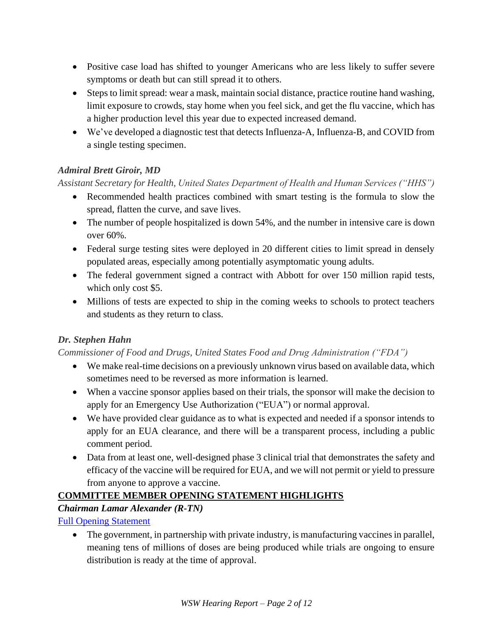- Positive case load has shifted to younger Americans who are less likely to suffer severe symptoms or death but can still spread it to others.
- Steps to limit spread: wear a mask, maintain social distance, practice routine hand washing, limit exposure to crowds, stay home when you feel sick, and get the flu vaccine, which has a higher production level this year due to expected increased demand.
- We've developed a diagnostic test that detects Influenza-A, Influenza-B, and COVID from a single testing specimen.

# *Admiral Brett Giroir, MD*

## *Assistant Secretary for Health, United States Department of Health and Human Services ("HHS")*

- Recommended health practices combined with smart testing is the formula to slow the spread, flatten the curve, and save lives.
- The number of people hospitalized is down 54%, and the number in intensive care is down over 60%.
- Federal surge testing sites were deployed in 20 different cities to limit spread in densely populated areas, especially among potentially asymptomatic young adults.
- The federal government signed a contract with Abbott for over 150 million rapid tests, which only cost \$5.
- Millions of tests are expected to ship in the coming weeks to schools to protect teachers and students as they return to class.

## *Dr. Stephen Hahn*

## *Commissioner of Food and Drugs, United States Food and Drug Administration ("FDA")*

- We make real-time decisions on a previously unknown virus based on available data, which sometimes need to be reversed as more information is learned.
- When a vaccine sponsor applies based on their trials, the sponsor will make the decision to apply for an Emergency Use Authorization ("EUA") or normal approval.
- We have provided clear guidance as to what is expected and needed if a sponsor intends to apply for an EUA clearance, and there will be a transparent process, including a public comment period.
- Data from at least one, well-designed phase 3 clinical trial that demonstrates the safety and efficacy of the vaccine will be required for EUA, and we will not permit or yield to pressure from anyone to approve a vaccine.

# **COMMITTEE MEMBER OPENING STATEMENT HIGHLIGHTS**

# *Chairman Lamar Alexander (R-TN)*

[Full Opening Statement](https://www.help.senate.gov/imo/media/doc/Chairman%20Lamar%20Alexander_Opening%20Statement_COVID-19_An%20Update%20on%20the%20Federal%20Response%20.pdf)

• The government, in partnership with private industry, is manufacturing vaccines in parallel, meaning tens of millions of doses are being produced while trials are ongoing to ensure distribution is ready at the time of approval.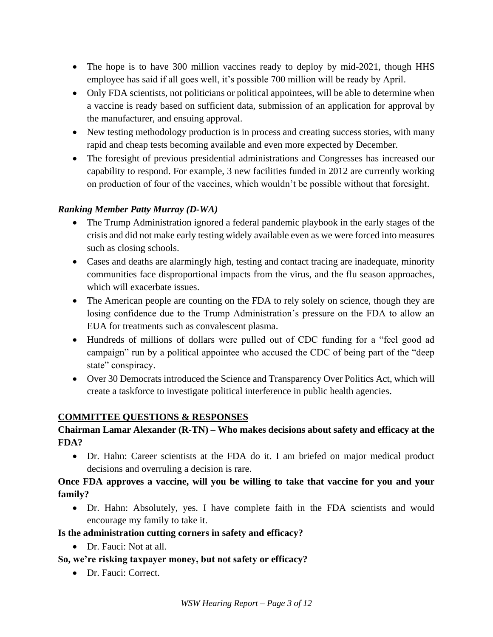- The hope is to have 300 million vaccines ready to deploy by mid-2021, though HHS employee has said if all goes well, it's possible 700 million will be ready by April.
- Only FDA scientists, not politicians or political appointees, will be able to determine when a vaccine is ready based on sufficient data, submission of an application for approval by the manufacturer, and ensuing approval.
- New testing methodology production is in process and creating success stories, with many rapid and cheap tests becoming available and even more expected by December.
- The foresight of previous presidential administrations and Congresses has increased our capability to respond. For example, 3 new facilities funded in 2012 are currently working on production of four of the vaccines, which wouldn't be possible without that foresight.

## *Ranking Member Patty Murray (D-WA)*

- The Trump Administration ignored a federal pandemic playbook in the early stages of the crisis and did not make early testing widely available even as we were forced into measures such as closing schools.
- Cases and deaths are alarmingly high, testing and contact tracing are inadequate, minority communities face disproportional impacts from the virus, and the flu season approaches, which will exacerbate issues.
- The American people are counting on the FDA to rely solely on science, though they are losing confidence due to the Trump Administration's pressure on the FDA to allow an EUA for treatments such as convalescent plasma.
- Hundreds of millions of dollars were pulled out of CDC funding for a "feel good ad campaign" run by a political appointee who accused the CDC of being part of the "deep state" conspiracy.
- Over 30 Democrats introduced the Science and Transparency Over Politics Act, which will create a taskforce to investigate political interference in public health agencies.

#### **COMMITTEE QUESTIONS & RESPONSES**

#### **Chairman Lamar Alexander (R-TN) – Who makes decisions about safety and efficacy at the FDA?**

• Dr. Hahn: Career scientists at the FDA do it. I am briefed on major medical product decisions and overruling a decision is rare.

## **Once FDA approves a vaccine, will you be willing to take that vaccine for you and your family?**

• Dr. Hahn: Absolutely, yes. I have complete faith in the FDA scientists and would encourage my family to take it.

#### **Is the administration cutting corners in safety and efficacy?**

• Dr. Fauci: Not at all.

## **So, we're risking taxpayer money, but not safety or efficacy?**

• Dr. Fauci: Correct.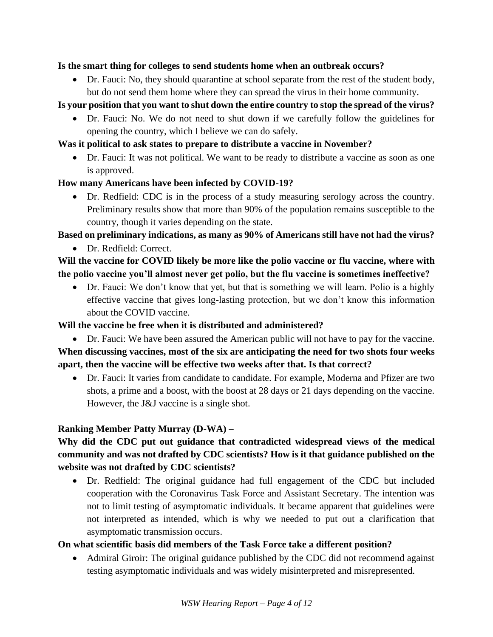#### **Is the smart thing for colleges to send students home when an outbreak occurs?**

• Dr. Fauci: No, they should quarantine at school separate from the rest of the student body, but do not send them home where they can spread the virus in their home community.

## **Is your position that you want to shut down the entire country to stop the spread of the virus?**

• Dr. Fauci: No. We do not need to shut down if we carefully follow the guidelines for opening the country, which I believe we can do safely.

#### **Was it political to ask states to prepare to distribute a vaccine in November?**

• Dr. Fauci: It was not political. We want to be ready to distribute a vaccine as soon as one is approved.

## **How many Americans have been infected by COVID-19?**

• Dr. Redfield: CDC is in the process of a study measuring serology across the country. Preliminary results show that more than 90% of the population remains susceptible to the country, though it varies depending on the state.

# **Based on preliminary indications, as many as 90% of Americans still have not had the virus?**

• Dr. Redfield: Correct.

# **Will the vaccine for COVID likely be more like the polio vaccine or flu vaccine, where with the polio vaccine you'll almost never get polio, but the flu vaccine is sometimes ineffective?**

• Dr. Fauci: We don't know that yet, but that is something we will learn. Polio is a highly effective vaccine that gives long-lasting protection, but we don't know this information about the COVID vaccine.

## **Will the vaccine be free when it is distributed and administered?**

- Dr. Fauci: We have been assured the American public will not have to pay for the vaccine. **When discussing vaccines, most of the six are anticipating the need for two shots four weeks apart, then the vaccine will be effective two weeks after that. Is that correct?**
	- Dr. Fauci: It varies from candidate to candidate. For example, Moderna and Pfizer are two shots, a prime and a boost, with the boost at 28 days or 21 days depending on the vaccine. However, the J&J vaccine is a single shot.

## **Ranking Member Patty Murray (D-WA) –**

# **Why did the CDC put out guidance that contradicted widespread views of the medical community and was not drafted by CDC scientists? How is it that guidance published on the website was not drafted by CDC scientists?**

• Dr. Redfield: The original guidance had full engagement of the CDC but included cooperation with the Coronavirus Task Force and Assistant Secretary. The intention was not to limit testing of asymptomatic individuals. It became apparent that guidelines were not interpreted as intended, which is why we needed to put out a clarification that asymptomatic transmission occurs.

## **On what scientific basis did members of the Task Force take a different position?**

• Admiral Giroir: The original guidance published by the CDC did not recommend against testing asymptomatic individuals and was widely misinterpreted and misrepresented.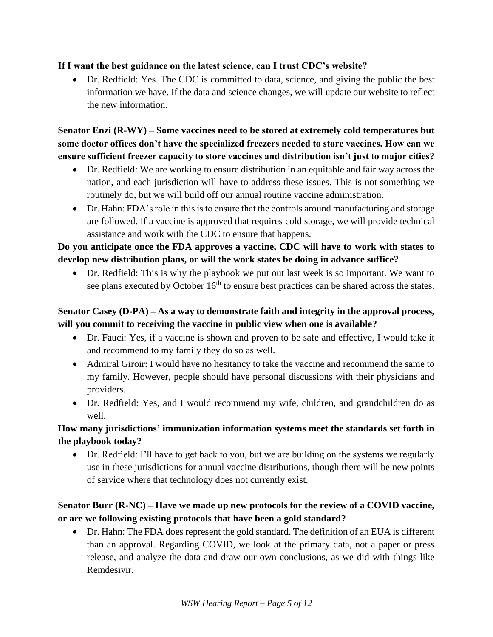#### **If I want the best guidance on the latest science, can I trust CDC's website?**

• Dr. Redfield: Yes. The CDC is committed to data, science, and giving the public the best information we have. If the data and science changes, we will update our website to reflect the new information.

**Senator Enzi (R-WY) – Some vaccines need to be stored at extremely cold temperatures but some doctor offices don't have the specialized freezers needed to store vaccines. How can we ensure sufficient freezer capacity to store vaccines and distribution isn't just to major cities?**

- Dr. Redfield: We are working to ensure distribution in an equitable and fair way across the nation, and each jurisdiction will have to address these issues. This is not something we routinely do, but we will build off our annual routine vaccine administration.
- Dr. Hahn: FDA's role in this is to ensure that the controls around manufacturing and storage are followed. If a vaccine is approved that requires cold storage, we will provide technical assistance and work with the CDC to ensure that happens.

# **Do you anticipate once the FDA approves a vaccine, CDC will have to work with states to develop new distribution plans, or will the work states be doing in advance suffice?**

• Dr. Redfield: This is why the playbook we put out last week is so important. We want to see plans executed by October  $16<sup>th</sup>$  to ensure best practices can be shared across the states.

## **Senator Casey (D-PA) – As a way to demonstrate faith and integrity in the approval process, will you commit to receiving the vaccine in public view when one is available?**

- Dr. Fauci: Yes, if a vaccine is shown and proven to be safe and effective, I would take it and recommend to my family they do so as well.
- Admiral Giroir: I would have no hesitancy to take the vaccine and recommend the same to my family. However, people should have personal discussions with their physicians and providers.
- Dr. Redfield: Yes, and I would recommend my wife, children, and grandchildren do as well.

## **How many jurisdictions' immunization information systems meet the standards set forth in the playbook today?**

• Dr. Redfield: I'll have to get back to you, but we are building on the systems we regularly use in these jurisdictions for annual vaccine distributions, though there will be new points of service where that technology does not currently exist.

# **Senator Burr (R-NC) – Have we made up new protocols for the review of a COVID vaccine, or are we following existing protocols that have been a gold standard?**

• Dr. Hahn: The FDA does represent the gold standard. The definition of an EUA is different than an approval. Regarding COVID, we look at the primary data, not a paper or press release, and analyze the data and draw our own conclusions, as we did with things like Remdesivir.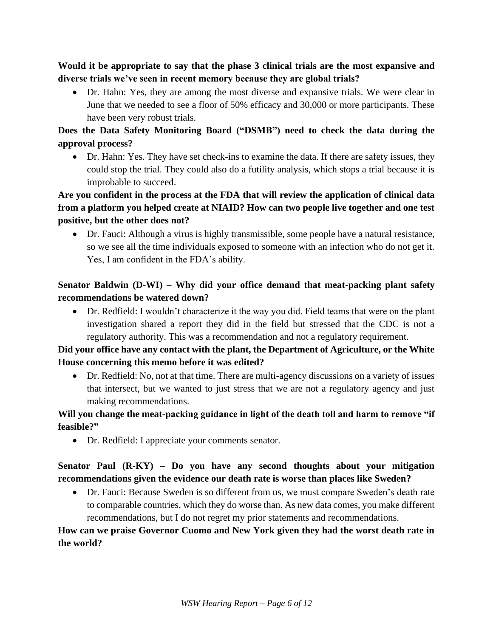**Would it be appropriate to say that the phase 3 clinical trials are the most expansive and diverse trials we've seen in recent memory because they are global trials?**

• Dr. Hahn: Yes, they are among the most diverse and expansive trials. We were clear in June that we needed to see a floor of 50% efficacy and 30,000 or more participants. These have been very robust trials.

# **Does the Data Safety Monitoring Board ("DSMB") need to check the data during the approval process?**

• Dr. Hahn: Yes. They have set check-ins to examine the data. If there are safety issues, they could stop the trial. They could also do a futility analysis, which stops a trial because it is improbable to succeed.

## **Are you confident in the process at the FDA that will review the application of clinical data from a platform you helped create at NIAID? How can two people live together and one test positive, but the other does not?**

• Dr. Fauci: Although a virus is highly transmissible, some people have a natural resistance, so we see all the time individuals exposed to someone with an infection who do not get it. Yes, I am confident in the FDA's ability.

# **Senator Baldwin (D-WI) – Why did your office demand that meat-packing plant safety recommendations be watered down?**

• Dr. Redfield: I wouldn't characterize it the way you did. Field teams that were on the plant investigation shared a report they did in the field but stressed that the CDC is not a regulatory authority. This was a recommendation and not a regulatory requirement.

# **Did your office have any contact with the plant, the Department of Agriculture, or the White House concerning this memo before it was edited?**

• Dr. Redfield: No, not at that time. There are multi-agency discussions on a variety of issues that intersect, but we wanted to just stress that we are not a regulatory agency and just making recommendations.

## **Will you change the meat-packing guidance in light of the death toll and harm to remove "if feasible?"**

• Dr. Redfield: I appreciate your comments senator.

## **Senator Paul (R-KY) – Do you have any second thoughts about your mitigation recommendations given the evidence our death rate is worse than places like Sweden?**

• Dr. Fauci: Because Sweden is so different from us, we must compare Sweden's death rate to comparable countries, which they do worse than. As new data comes, you make different recommendations, but I do not regret my prior statements and recommendations.

# **How can we praise Governor Cuomo and New York given they had the worst death rate in the world?**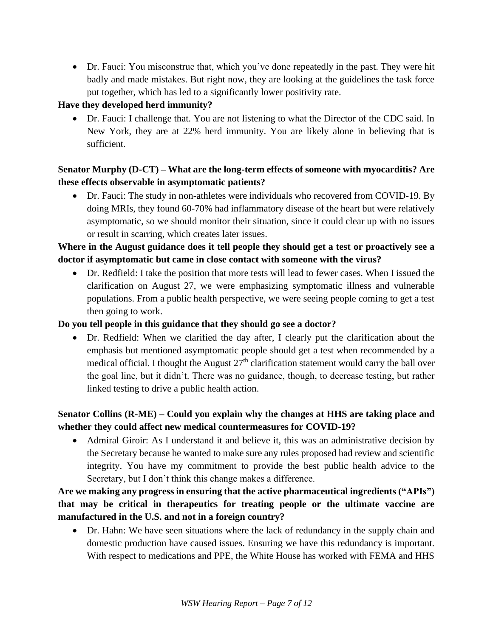• Dr. Fauci: You misconstrue that, which you've done repeatedly in the past. They were hit badly and made mistakes. But right now, they are looking at the guidelines the task force put together, which has led to a significantly lower positivity rate.

## **Have they developed herd immunity?**

• Dr. Fauci: I challenge that. You are not listening to what the Director of the CDC said. In New York, they are at 22% herd immunity. You are likely alone in believing that is sufficient.

## **Senator Murphy (D-CT) – What are the long-term effects of someone with myocarditis? Are these effects observable in asymptomatic patients?**

• Dr. Fauci: The study in non-athletes were individuals who recovered from COVID-19. By doing MRIs, they found 60-70% had inflammatory disease of the heart but were relatively asymptomatic, so we should monitor their situation, since it could clear up with no issues or result in scarring, which creates later issues.

## **Where in the August guidance does it tell people they should get a test or proactively see a doctor if asymptomatic but came in close contact with someone with the virus?**

• Dr. Redfield: I take the position that more tests will lead to fewer cases. When I issued the clarification on August 27, we were emphasizing symptomatic illness and vulnerable populations. From a public health perspective, we were seeing people coming to get a test then going to work.

#### **Do you tell people in this guidance that they should go see a doctor?**

• Dr. Redfield: When we clarified the day after, I clearly put the clarification about the emphasis but mentioned asymptomatic people should get a test when recommended by a medical official. I thought the August  $27<sup>th</sup>$  clarification statement would carry the ball over the goal line, but it didn't. There was no guidance, though, to decrease testing, but rather linked testing to drive a public health action.

# **Senator Collins (R-ME) – Could you explain why the changes at HHS are taking place and whether they could affect new medical countermeasures for COVID-19?**

• Admiral Giroir: As I understand it and believe it, this was an administrative decision by the Secretary because he wanted to make sure any rules proposed had review and scientific integrity. You have my commitment to provide the best public health advice to the Secretary, but I don't think this change makes a difference.

# **Are we making any progress in ensuring that the active pharmaceutical ingredients ("APIs") that may be critical in therapeutics for treating people or the ultimate vaccine are manufactured in the U.S. and not in a foreign country?**

• Dr. Hahn: We have seen situations where the lack of redundancy in the supply chain and domestic production have caused issues. Ensuring we have this redundancy is important. With respect to medications and PPE, the White House has worked with FEMA and HHS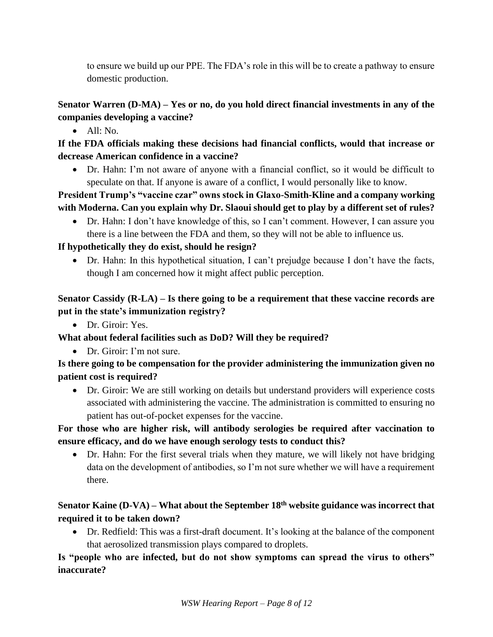to ensure we build up our PPE. The FDA's role in this will be to create a pathway to ensure domestic production.

# **Senator Warren (D-MA) – Yes or no, do you hold direct financial investments in any of the companies developing a vaccine?**

• All: No.

# **If the FDA officials making these decisions had financial conflicts, would that increase or decrease American confidence in a vaccine?**

• Dr. Hahn: I'm not aware of anyone with a financial conflict, so it would be difficult to speculate on that. If anyone is aware of a conflict, I would personally like to know.

# **President Trump's "vaccine czar" owns stock in Glaxo-Smith-Kline and a company working with Moderna. Can you explain why Dr. Slaoui should get to play by a different set of rules?**

• Dr. Hahn: I don't have knowledge of this, so I can't comment. However, I can assure you there is a line between the FDA and them, so they will not be able to influence us.

# **If hypothetically they do exist, should he resign?**

• Dr. Hahn: In this hypothetical situation, I can't prejudge because I don't have the facts, though I am concerned how it might affect public perception.

# **Senator Cassidy (R-LA) – Is there going to be a requirement that these vaccine records are put in the state's immunization registry?**

• Dr. Giroir: Yes.

## **What about federal facilities such as DoD? Will they be required?**

• Dr. Giroir: I'm not sure.

# **Is there going to be compensation for the provider administering the immunization given no patient cost is required?**

• Dr. Giroir: We are still working on details but understand providers will experience costs associated with administering the vaccine. The administration is committed to ensuring no patient has out-of-pocket expenses for the vaccine.

# **For those who are higher risk, will antibody serologies be required after vaccination to ensure efficacy, and do we have enough serology tests to conduct this?**

• Dr. Hahn: For the first several trials when they mature, we will likely not have bridging data on the development of antibodies, so I'm not sure whether we will have a requirement there.

# **Senator Kaine (D-VA) – What about the September 18th website guidance was incorrect that required it to be taken down?**

• Dr. Redfield: This was a first-draft document. It's looking at the balance of the component that aerosolized transmission plays compared to droplets.

# **Is "people who are infected, but do not show symptoms can spread the virus to others" inaccurate?**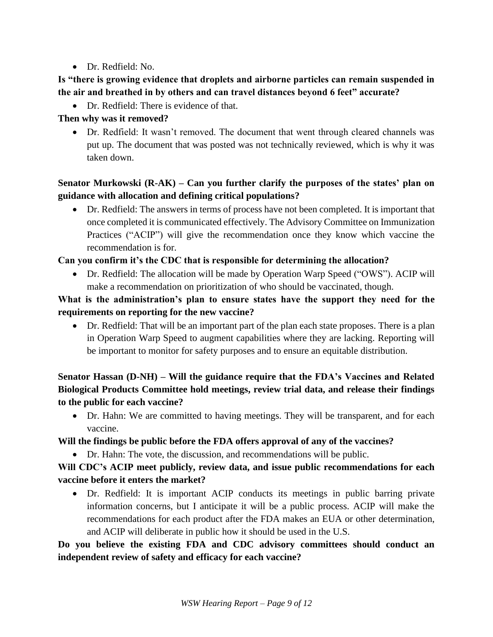• Dr. Redfield: No.

## **Is "there is growing evidence that droplets and airborne particles can remain suspended in the air and breathed in by others and can travel distances beyond 6 feet" accurate?**

• Dr. Redfield: There is evidence of that.

#### **Then why was it removed?**

• Dr. Redfield: It wasn't removed. The document that went through cleared channels was put up. The document that was posted was not technically reviewed, which is why it was taken down.

# **Senator Murkowski (R-AK) – Can you further clarify the purposes of the states' plan on guidance with allocation and defining critical populations?**

• Dr. Redfield: The answers in terms of process have not been completed. It is important that once completed it is communicated effectively. The Advisory Committee on Immunization Practices ("ACIP") will give the recommendation once they know which vaccine the recommendation is for.

#### **Can you confirm it's the CDC that is responsible for determining the allocation?**

• Dr. Redfield: The allocation will be made by Operation Warp Speed ("OWS"). ACIP will make a recommendation on prioritization of who should be vaccinated, though.

## **What is the administration's plan to ensure states have the support they need for the requirements on reporting for the new vaccine?**

• Dr. Redfield: That will be an important part of the plan each state proposes. There is a plan in Operation Warp Speed to augment capabilities where they are lacking. Reporting will be important to monitor for safety purposes and to ensure an equitable distribution.

# **Senator Hassan (D-NH) – Will the guidance require that the FDA's Vaccines and Related Biological Products Committee hold meetings, review trial data, and release their findings to the public for each vaccine?**

• Dr. Hahn: We are committed to having meetings. They will be transparent, and for each vaccine.

## **Will the findings be public before the FDA offers approval of any of the vaccines?**

• Dr. Hahn: The vote, the discussion, and recommendations will be public.

# **Will CDC's ACIP meet publicly, review data, and issue public recommendations for each vaccine before it enters the market?**

• Dr. Redfield: It is important ACIP conducts its meetings in public barring private information concerns, but I anticipate it will be a public process. ACIP will make the recommendations for each product after the FDA makes an EUA or other determination, and ACIP will deliberate in public how it should be used in the U.S.

# **Do you believe the existing FDA and CDC advisory committees should conduct an independent review of safety and efficacy for each vaccine?**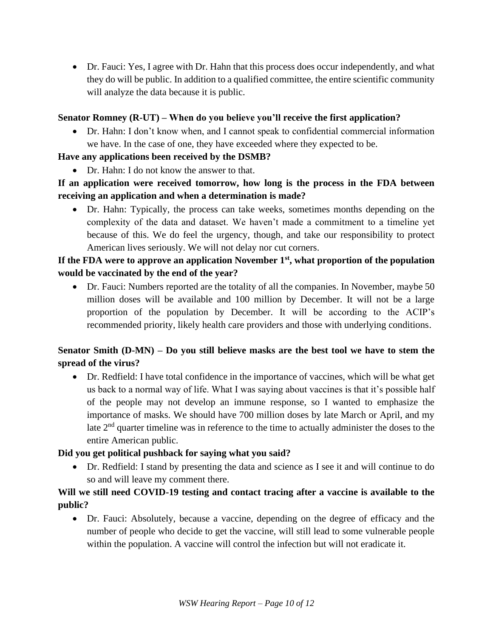• Dr. Fauci: Yes, I agree with Dr. Hahn that this process does occur independently, and what they do will be public. In addition to a qualified committee, the entire scientific community will analyze the data because it is public.

#### **Senator Romney (R-UT) – When do you believe you'll receive the first application?**

• Dr. Hahn: I don't know when, and I cannot speak to confidential commercial information we have. In the case of one, they have exceeded where they expected to be.

#### **Have any applications been received by the DSMB?**

• Dr. Hahn: I do not know the answer to that.

# **If an application were received tomorrow, how long is the process in the FDA between receiving an application and when a determination is made?**

• Dr. Hahn: Typically, the process can take weeks, sometimes months depending on the complexity of the data and dataset. We haven't made a commitment to a timeline yet because of this. We do feel the urgency, though, and take our responsibility to protect American lives seriously. We will not delay nor cut corners.

## **If the FDA were to approve an application November 1st, what proportion of the population would be vaccinated by the end of the year?**

• Dr. Fauci: Numbers reported are the totality of all the companies. In November, maybe 50 million doses will be available and 100 million by December. It will not be a large proportion of the population by December. It will be according to the ACIP's recommended priority, likely health care providers and those with underlying conditions.

## **Senator Smith (D-MN) – Do you still believe masks are the best tool we have to stem the spread of the virus?**

• Dr. Redfield: I have total confidence in the importance of vaccines, which will be what get us back to a normal way of life. What I was saying about vaccines is that it's possible half of the people may not develop an immune response, so I wanted to emphasize the importance of masks. We should have 700 million doses by late March or April, and my late 2<sup>nd</sup> quarter timeline was in reference to the time to actually administer the doses to the entire American public.

## **Did you get political pushback for saying what you said?**

• Dr. Redfield: I stand by presenting the data and science as I see it and will continue to do so and will leave my comment there.

#### **Will we still need COVID-19 testing and contact tracing after a vaccine is available to the public?**

• Dr. Fauci: Absolutely, because a vaccine, depending on the degree of efficacy and the number of people who decide to get the vaccine, will still lead to some vulnerable people within the population. A vaccine will control the infection but will not eradicate it.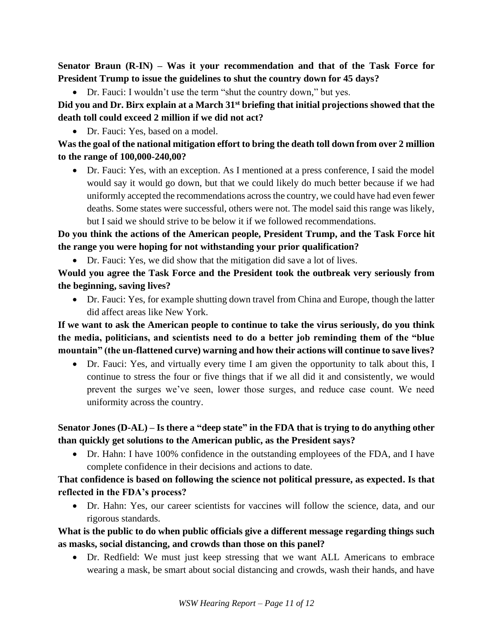**Senator Braun (R-IN) – Was it your recommendation and that of the Task Force for President Trump to issue the guidelines to shut the country down for 45 days?**

• Dr. Fauci: I wouldn't use the term "shut the country down," but yes.

**Did you and Dr. Birx explain at a March 31st briefing that initial projections showed that the death toll could exceed 2 million if we did not act?**

• Dr. Fauci: Yes, based on a model.

**Was the goal of the national mitigation effort to bring the death toll down from over 2 million to the range of 100,000-240,00?**

• Dr. Fauci: Yes, with an exception. As I mentioned at a press conference, I said the model would say it would go down, but that we could likely do much better because if we had uniformly accepted the recommendations across the country, we could have had even fewer deaths. Some states were successful, others were not. The model said this range was likely, but I said we should strive to be below it if we followed recommendations.

**Do you think the actions of the American people, President Trump, and the Task Force hit the range you were hoping for not withstanding your prior qualification?**

• Dr. Fauci: Yes, we did show that the mitigation did save a lot of lives.

**Would you agree the Task Force and the President took the outbreak very seriously from the beginning, saving lives?**

• Dr. Fauci: Yes, for example shutting down travel from China and Europe, though the latter did affect areas like New York.

**If we want to ask the American people to continue to take the virus seriously, do you think the media, politicians, and scientists need to do a better job reminding them of the "blue mountain" (the un-flattened curve) warning and how their actions will continue to save lives?**

• Dr. Fauci: Yes, and virtually every time I am given the opportunity to talk about this, I continue to stress the four or five things that if we all did it and consistently, we would prevent the surges we've seen, lower those surges, and reduce case count. We need uniformity across the country.

# **Senator Jones (D-AL) – Is there a "deep state" in the FDA that is trying to do anything other than quickly get solutions to the American public, as the President says?**

• Dr. Hahn: I have 100% confidence in the outstanding employees of the FDA, and I have complete confidence in their decisions and actions to date.

## **That confidence is based on following the science not political pressure, as expected. Is that reflected in the FDA's process?**

• Dr. Hahn: Yes, our career scientists for vaccines will follow the science, data, and our rigorous standards.

**What is the public to do when public officials give a different message regarding things such as masks, social distancing, and crowds than those on this panel?**

• Dr. Redfield: We must just keep stressing that we want ALL Americans to embrace wearing a mask, be smart about social distancing and crowds, wash their hands, and have